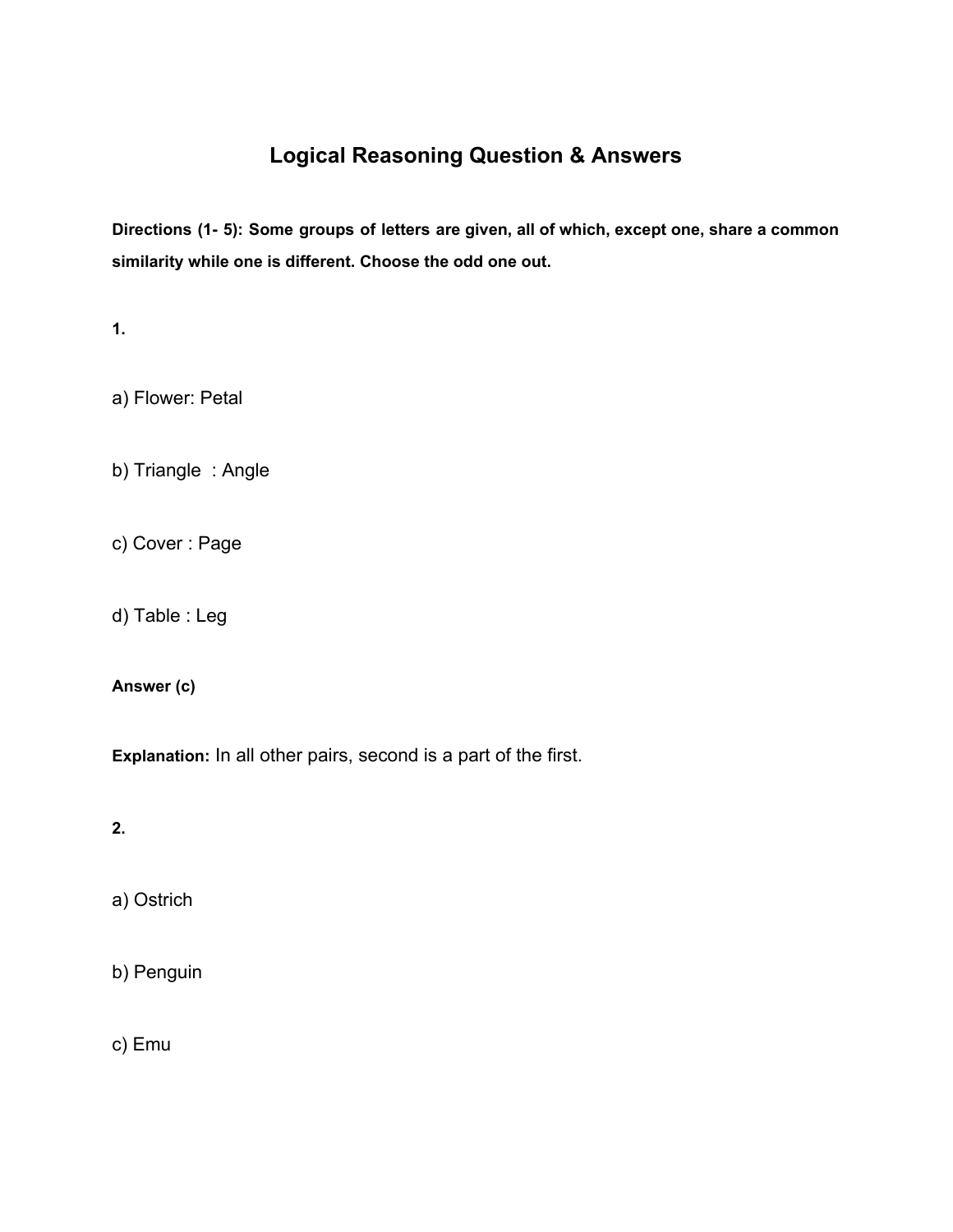# **Logical Reasoning Question & Answers**

**Directions (1- 5): Some groups of letters are given, all of which, except one, share a common similarity while one is different. Choose the odd one out.**

**1.**

a) Flower: Petal

b) Triangle : Angle

c) Cover : Page

d) Table : Leg

**Answer (c)**

**Explanation:** In all other pairs, second is a part of the first.

**2.**

a) Ostrich

b) Penguin

c) Emu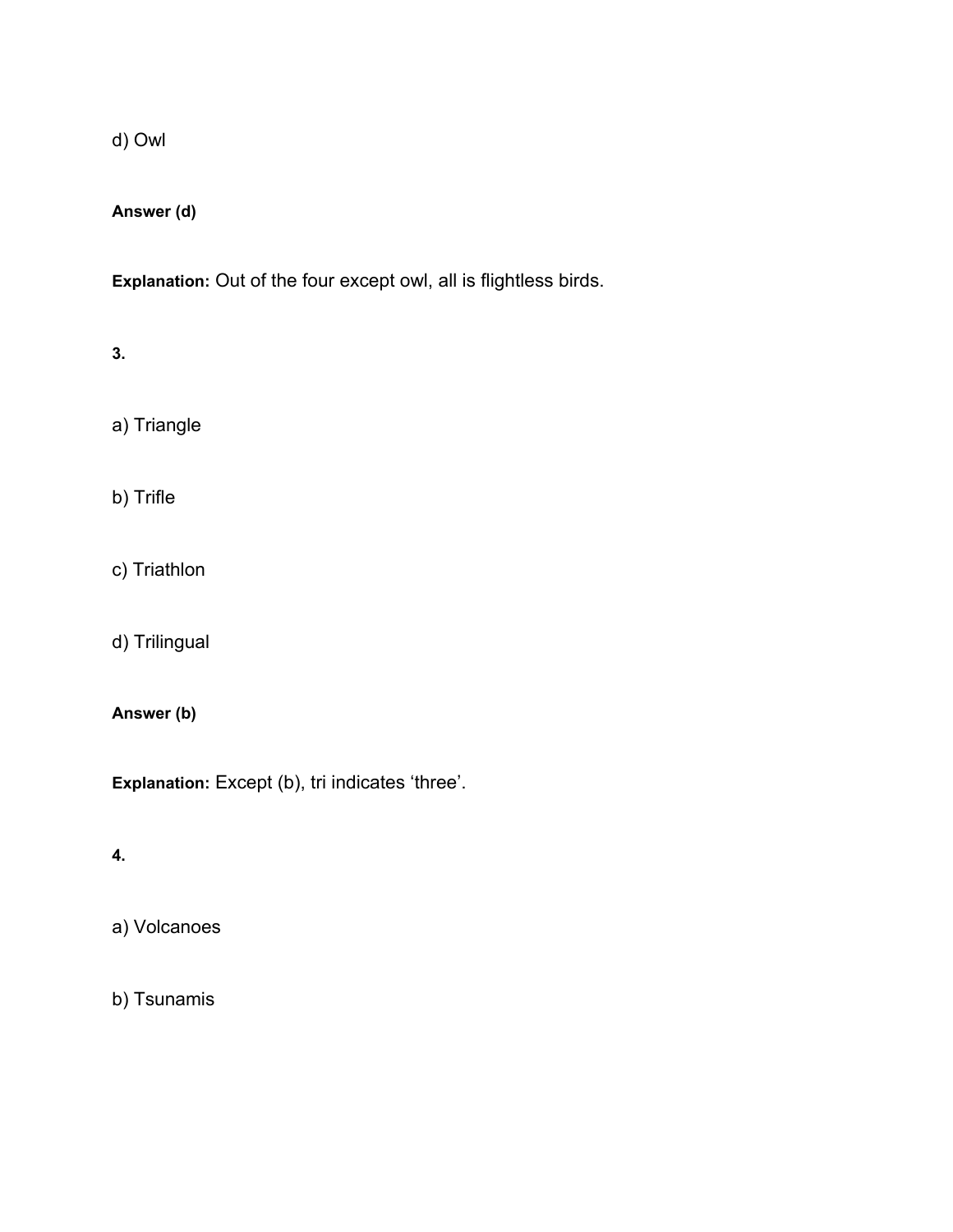d) Owl

**Answer (d)**

**Explanation:** Out of the four except owl, all is flightless birds.

**3.**

a) Triangle

b) Trifle

c) Triathlon

d) Trilingual

# **Answer (b)**

**Explanation:** Except (b), tri indicates 'three'.

**4.**

a) Volcanoes

b) Tsunamis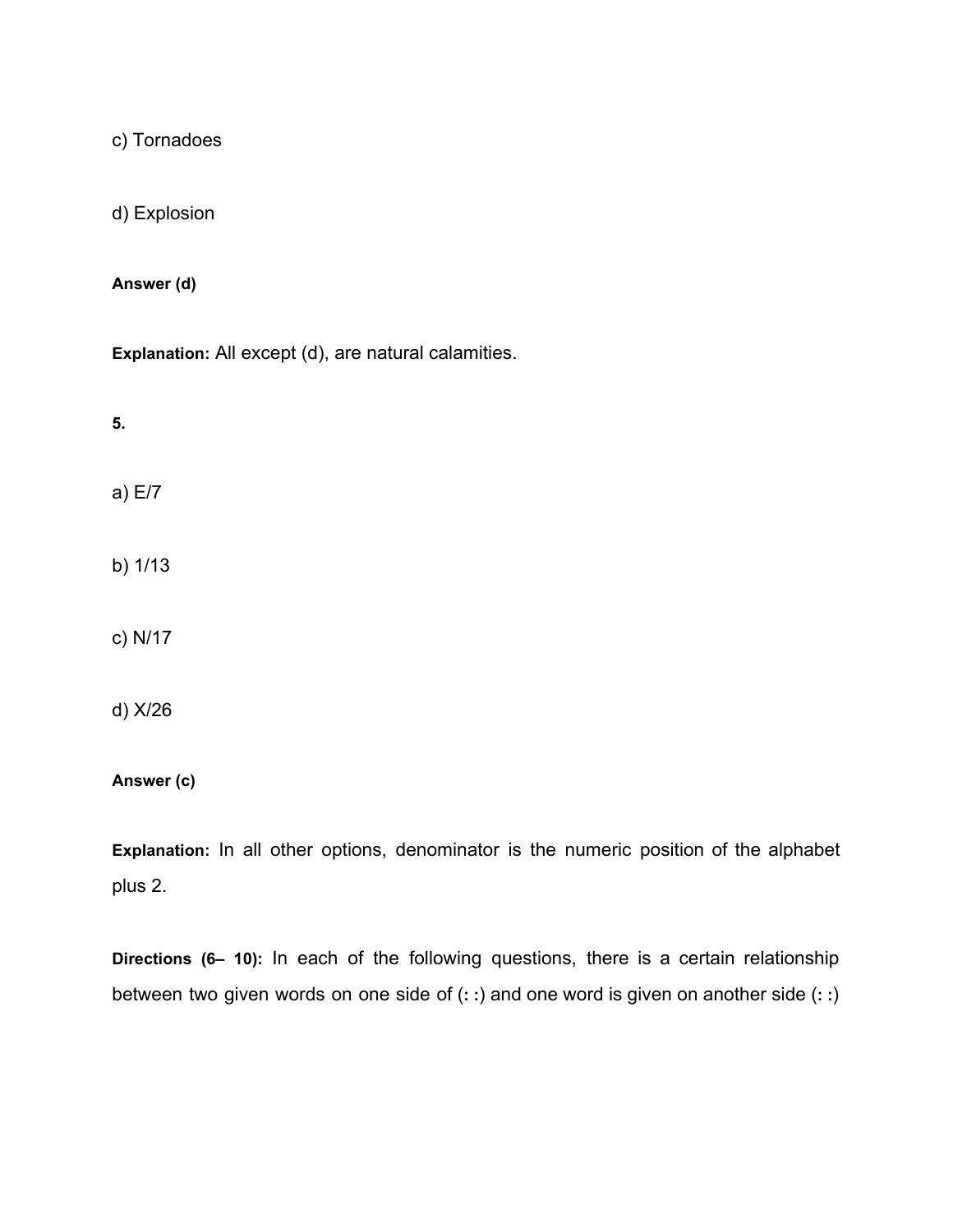c) Tornadoes

d) Explosion

**Answer (d)**

**Explanation:** All except (d), are natural calamities.

**5.**

a) E/7

b) 1/13

c) N/17

d) X/26

**Answer (c)**

**Explanation:** In all other options, denominator is the numeric position of the alphabet plus 2.

**Directions (6– 10):** In each of the following questions, there is a certain relationship between two given words on one side of (**: :**) and one word is given on another side (**: :**)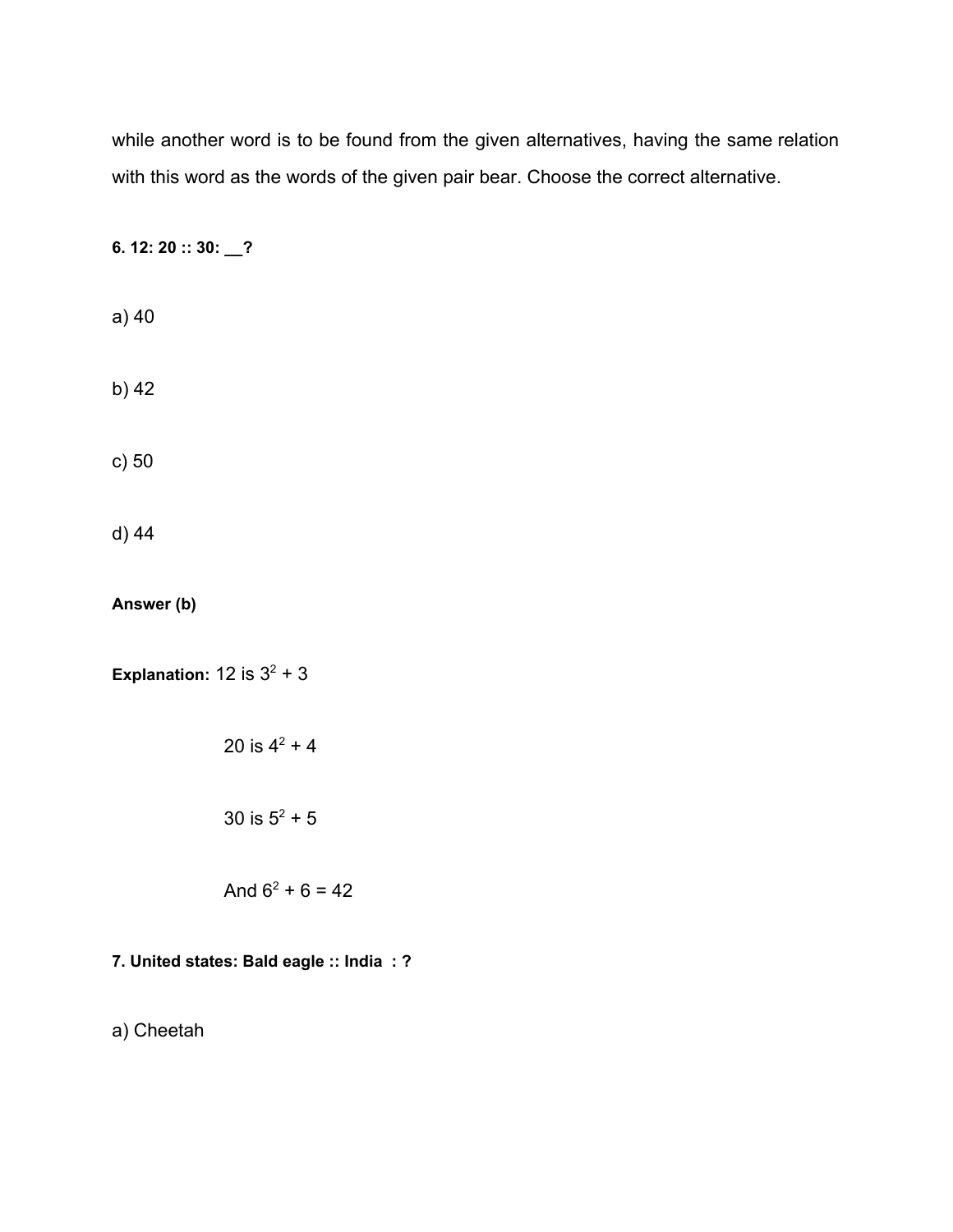while another word is to be found from the given alternatives, having the same relation with this word as the words of the given pair bear. Choose the correct alternative.

**6. 12: 20 :: 30: \_\_?**

a) 40

b) 42

c) 50

d) 44

**Answer (b)**

**Explanation:**  $12$  is  $3^2 + 3$ 

20 is  $4^2 + 4$ 30 is  $5^2 + 5$ 

And  $6^2 + 6 = 42$ 

# **7. United states: Bald eagle :: India : ?**

a) Cheetah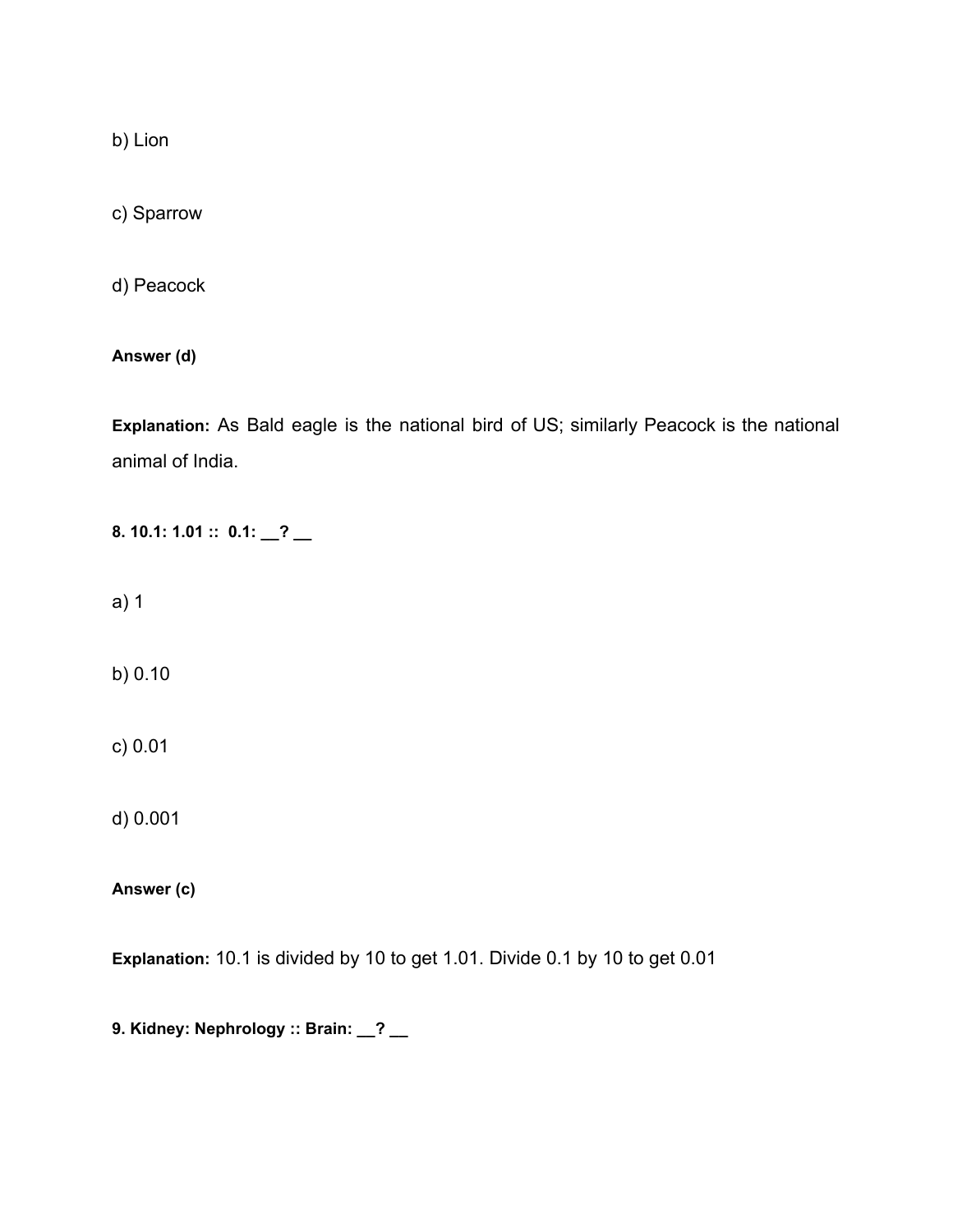b) Lion

c) Sparrow

d) Peacock

**Answer (d)**

**Explanation:** As Bald eagle is the national bird of US; similarly Peacock is the national animal of India.

**8. 10.1: 1.01 :: 0.1: \_\_? \_\_**

a) 1

b) 0.10

c) 0.01

d) 0.001

**Answer (c)**

**Explanation:** 10.1 is divided by 10 to get 1.01. Divide 0.1 by 10 to get 0.01

**9. Kidney: Nephrology :: Brain: \_\_? \_\_**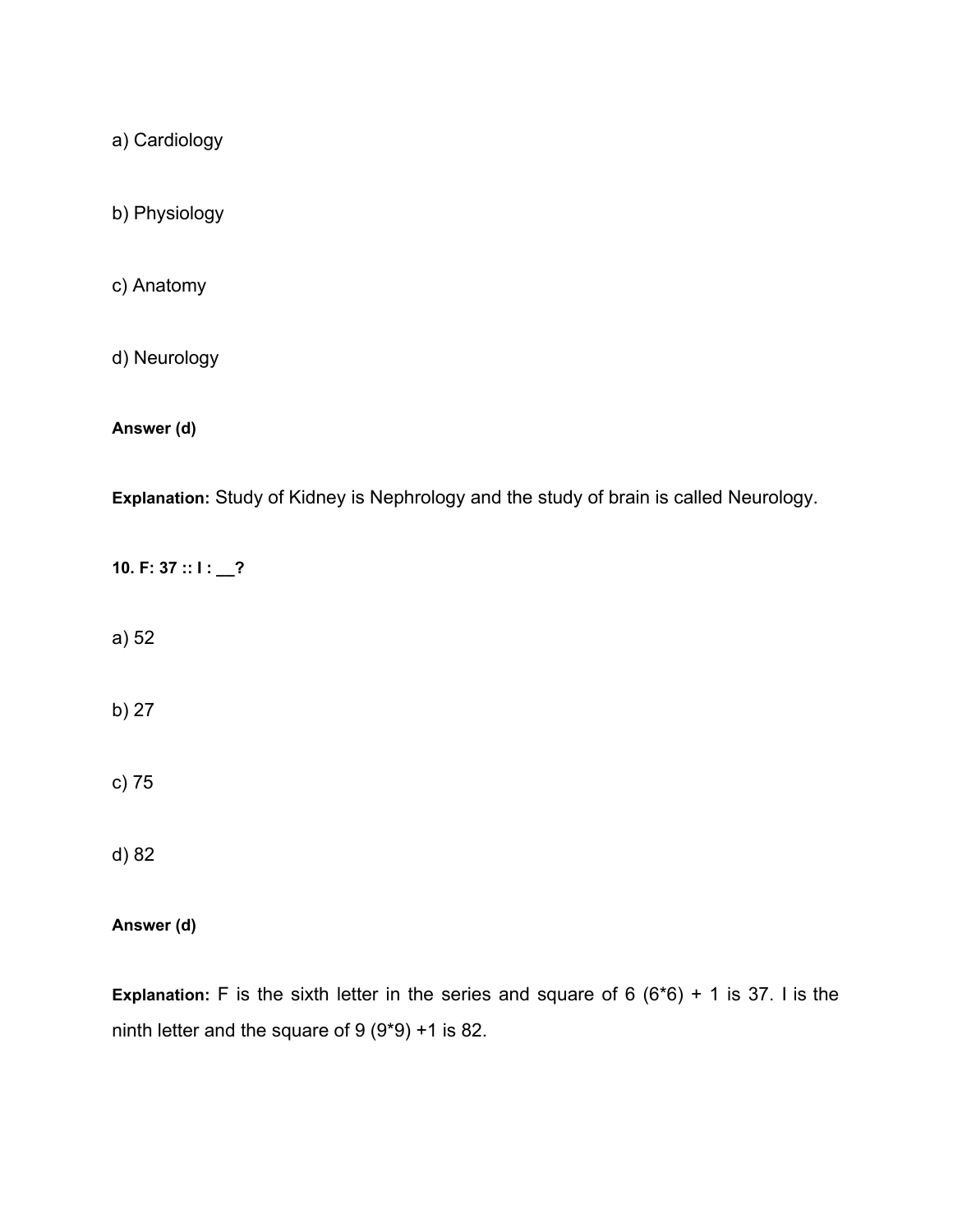a) Cardiology

b) Physiology

c) Anatomy

d) Neurology

**Answer (d)**

**Explanation:** Study of Kidney is Nephrology and the study of brain is called Neurology.

**10. F: 37 :: I : \_\_?**

a) 52

b) 27

c) 75

d) 82

**Answer (d)**

**Explanation:** F is the sixth letter in the series and square of 6 (6\*6) + 1 is 37. I is the ninth letter and the square of 9 (9\*9) +1 is 82.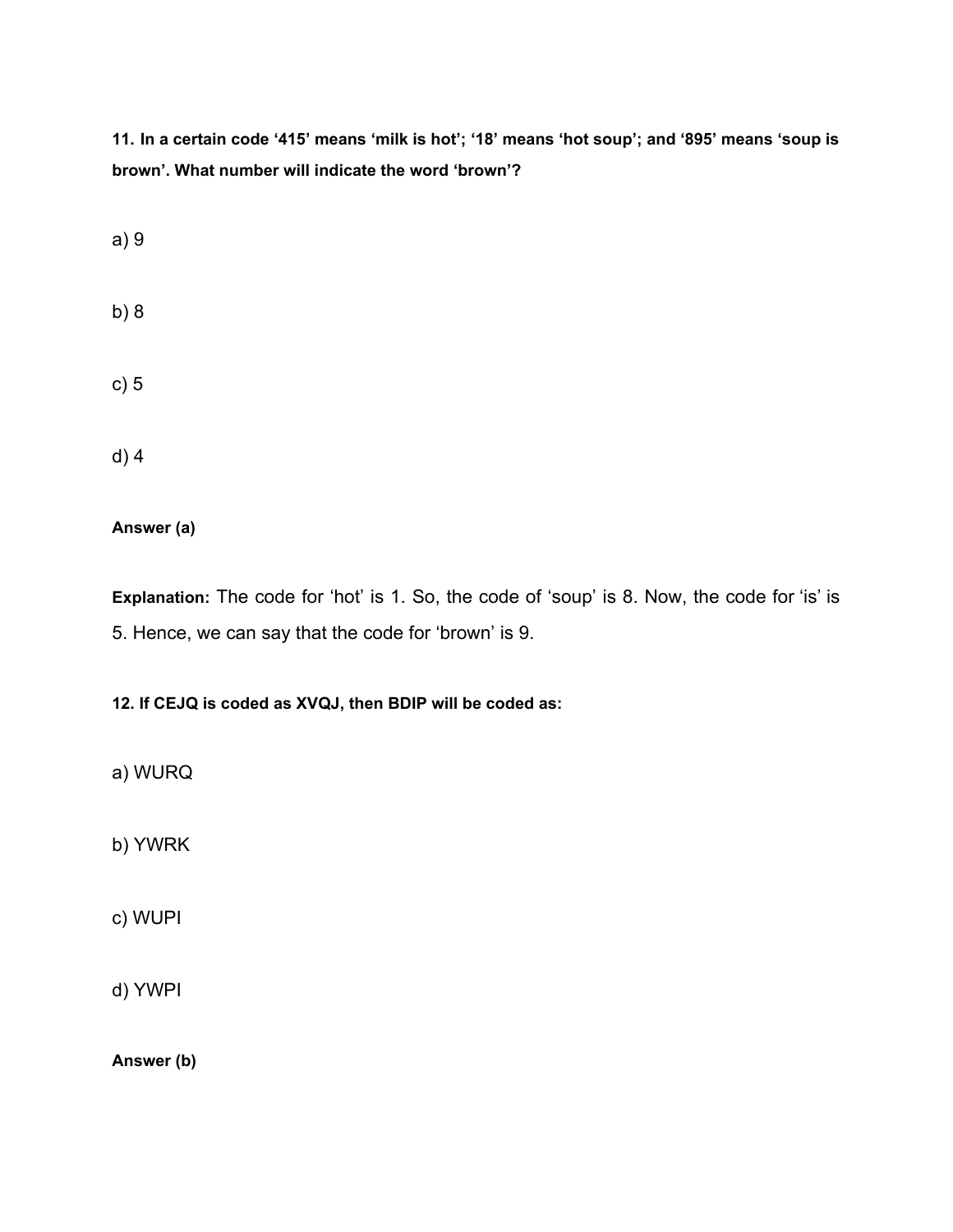11. In a certain code '415' means 'milk is hot'; '18' means 'hot soup'; and '895' means 'soup is **brown'. What number will indicate the word 'brown'?**

a) 9

- b) 8
- c) 5

d) 4

**Answer (a)**

**Explanation:** The code for 'hot' is 1. So, the code of 'soup' is 8. Now, the code for 'is' is 5. Hence, we can say that the code for 'brown' is 9.

**12. If CEJQ is coded as XVQJ, then BDIP will be coded as:**

a) WURQ

b) YWRK

c) WUPI

d) YWPI

**Answer (b)**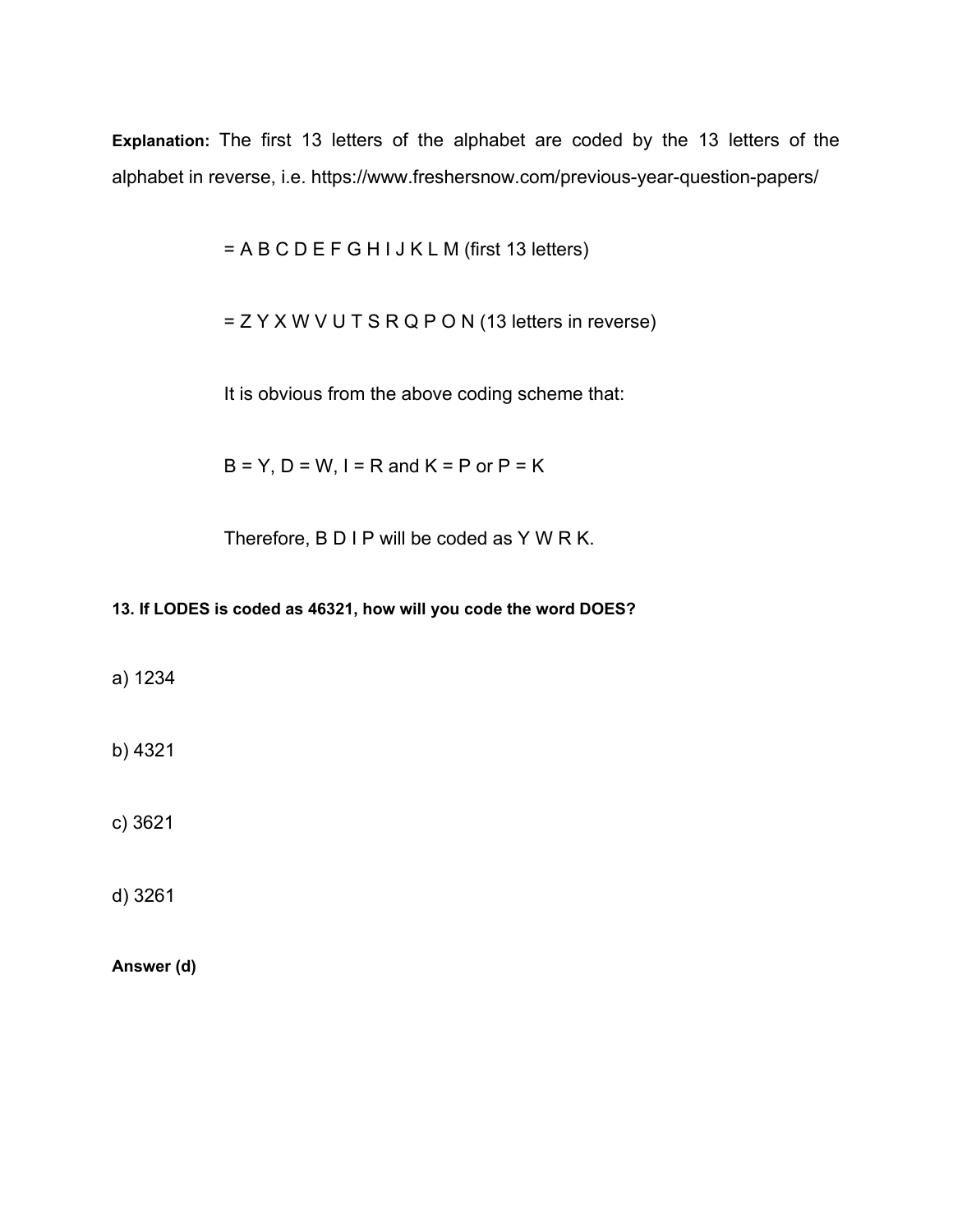**Explanation:** The first 13 letters of the alphabet are coded by the 13 letters of the alphabet in reverse, i.e. <https://www.freshersnow.com/previous-year-question-papers/>

= A B C D E F G H I J K L M (first 13 letters)

= Z Y X W V U T S R Q P O N (13 letters in reverse)

It is obvious from the above coding scheme that:

 $B = Y$ ,  $D = W$ ,  $I = R$  and  $K = P$  or  $P = K$ 

Therefore, B D I P will be coded as Y W R K.

# **13. If LODES is coded as 46321, how will you code the word DOES?**

a) 1234

b) 4321

c) 3621

d) 3261

**Answer (d)**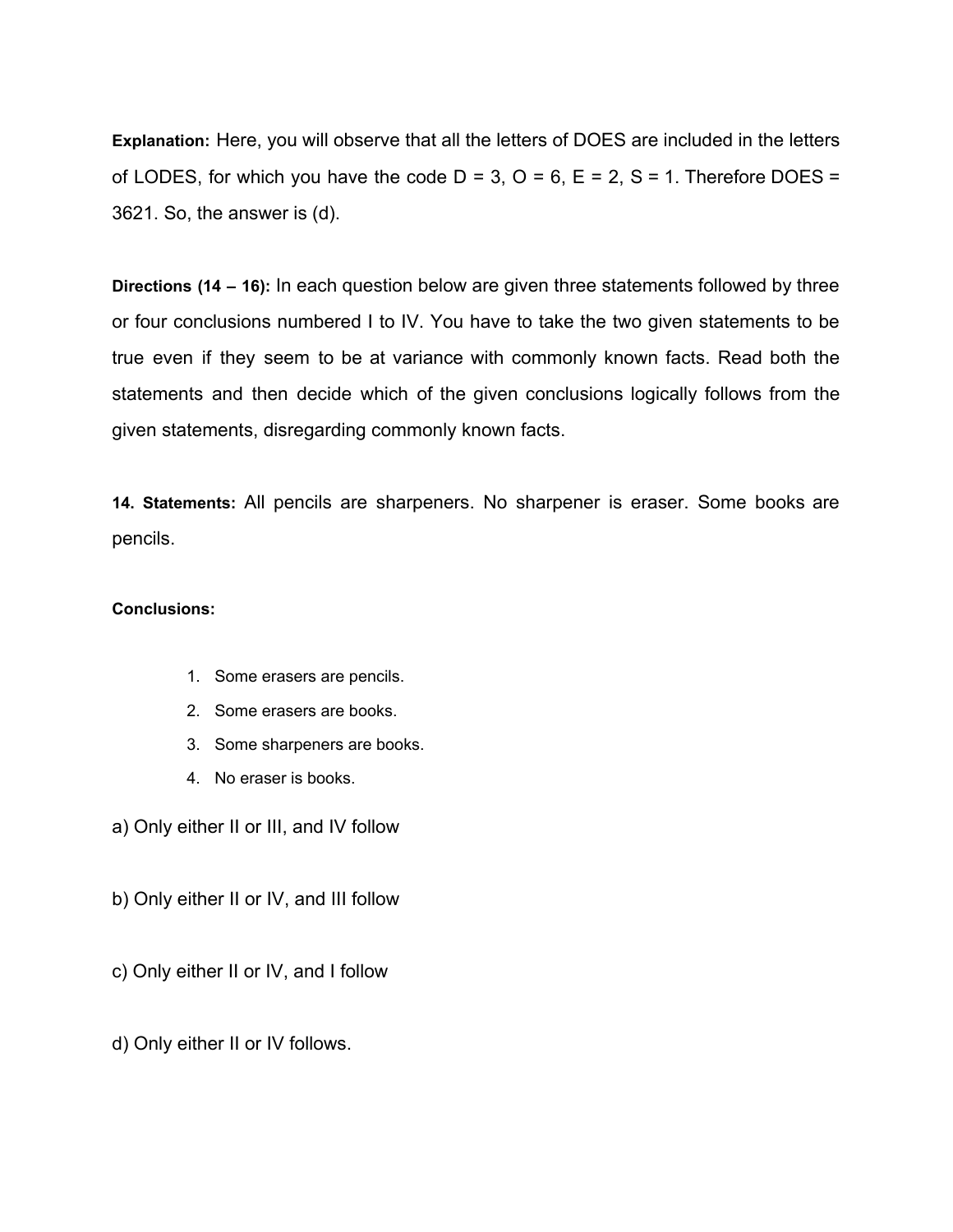**Explanation:** Here, you will observe that all the letters of DOES are included in the letters of LODES, for which you have the code  $D = 3$ ,  $O = 6$ ,  $E = 2$ ,  $S = 1$ . Therefore DOES = 3621. So, the answer is (d).

**Directions (14 – 16):** In each question below are given three statements followed by three or four conclusions numbered I to IV. You have to take the two given statements to be true even if they seem to be at variance with commonly known facts. Read both the statements and then decide which of the given conclusions logically follows from the given statements, disregarding commonly known facts.

**14. Statements:** All pencils are sharpeners. No sharpener is eraser. Some books are pencils.

#### **Conclusions:**

- 1. Some erasers are pencils.
- 2. Some erasers are books.
- 3. Some sharpeners are books.
- 4. No eraser is books.

a) Only either II or III, and IV follow

- b) Only either II or IV, and III follow
- c) Only either II or IV, and I follow
- d) Only either II or IV follows.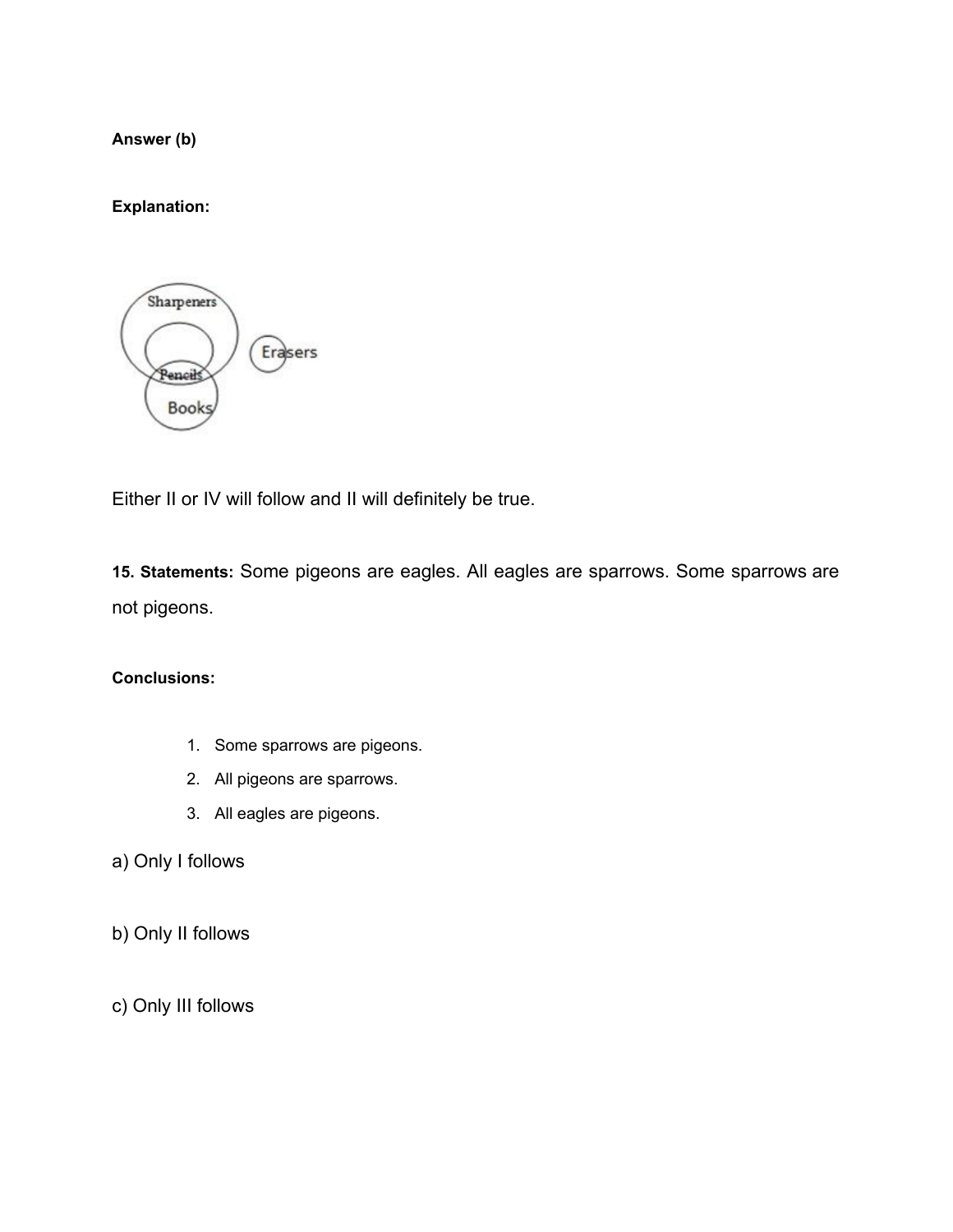**Answer (b)**

**Explanation:**



Either II or IV will follow and II will definitely be true.

**15. Statements:** Some pigeons are eagles. All eagles are sparrows. Some sparrows are not pigeons.

#### **Conclusions:**

- 1. Some sparrows are pigeons.
- 2. All pigeons are sparrows.
- 3. All eagles are pigeons.
- a) Only I follows
- b) Only II follows
- c) Only III follows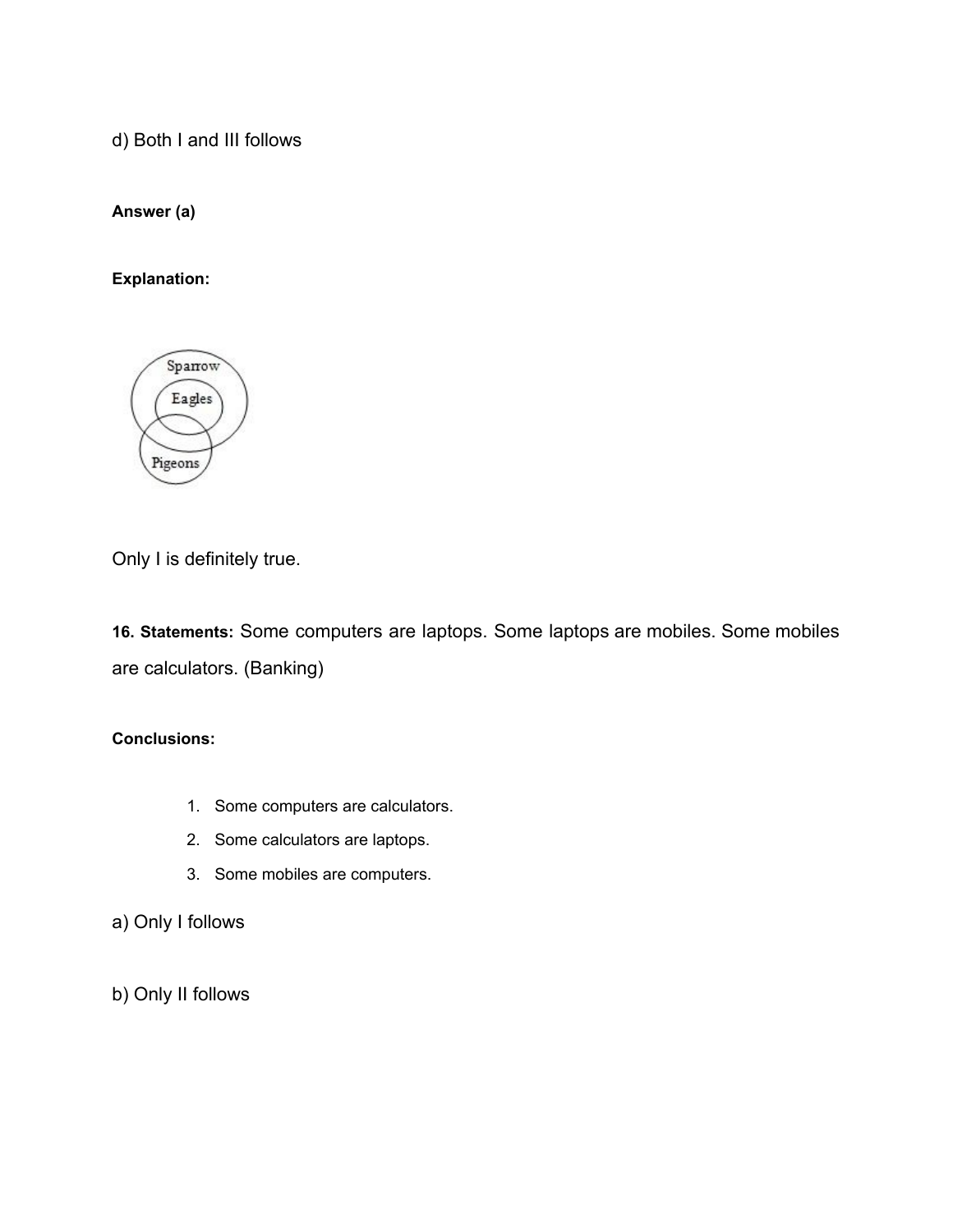d) Both I and III follows

**Answer (a)**

**Explanation:**



Only I is definitely true.

**16. Statements:** Some computers are laptops. Some laptops are mobiles. Some mobiles are calculators. (Banking)

# **Conclusions:**

- 1. Some computers are calculators.
- 2. Some calculators are laptops.
- 3. Some mobiles are computers.
- a) Only I follows

b) Only II follows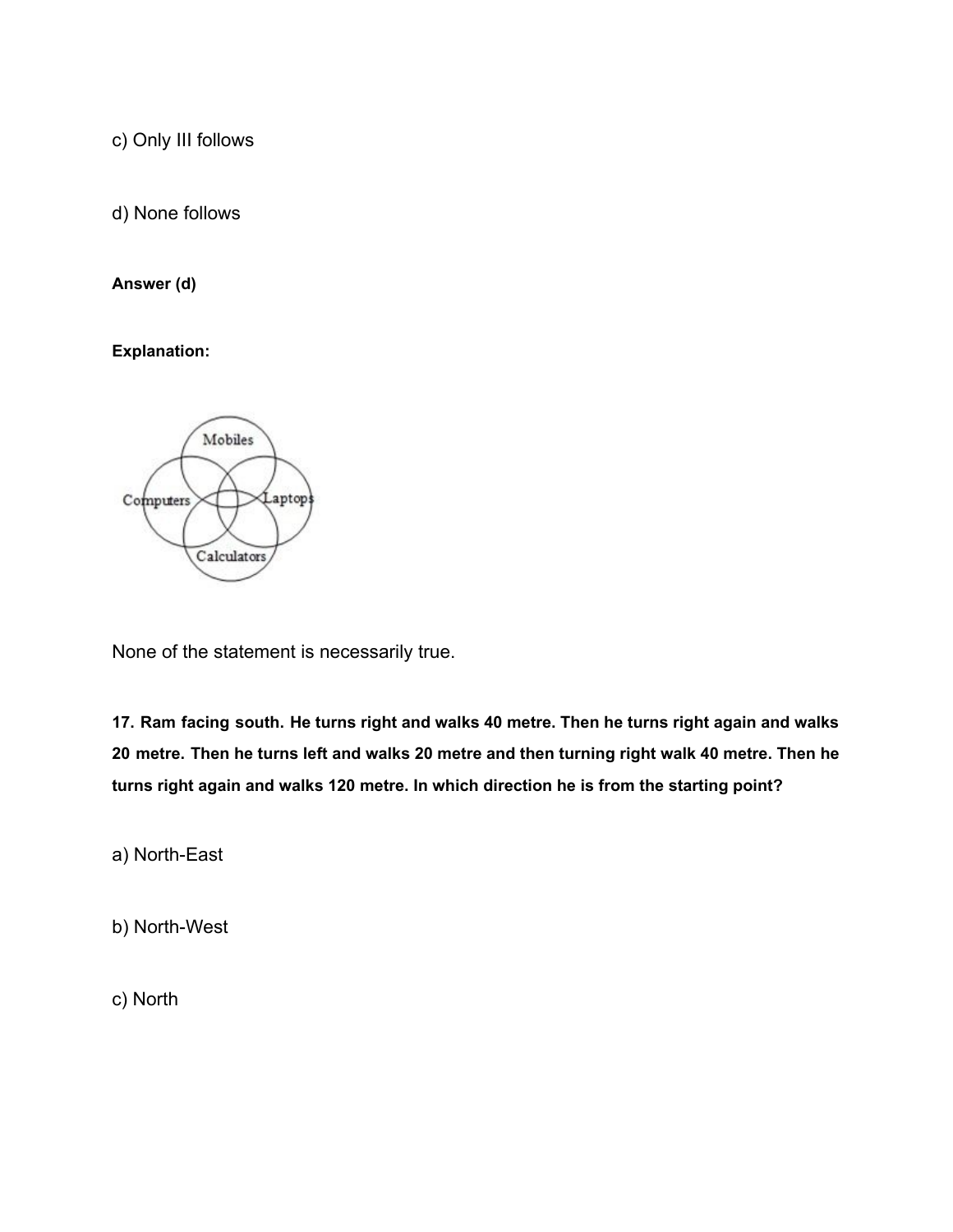c) Only III follows

d) None follows

# **Answer (d)**

**Explanation:**



None of the statement is necessarily true.

**17. Ram facing south. He turns right and walks 40 metre. Then he turns right again and walks** 20 metre. Then he turns left and walks 20 metre and then turning right walk 40 metre. Then he **turns right again and walks 120 metre. In which direction he is from the starting point?**

a) North-East

b) North-West

c) North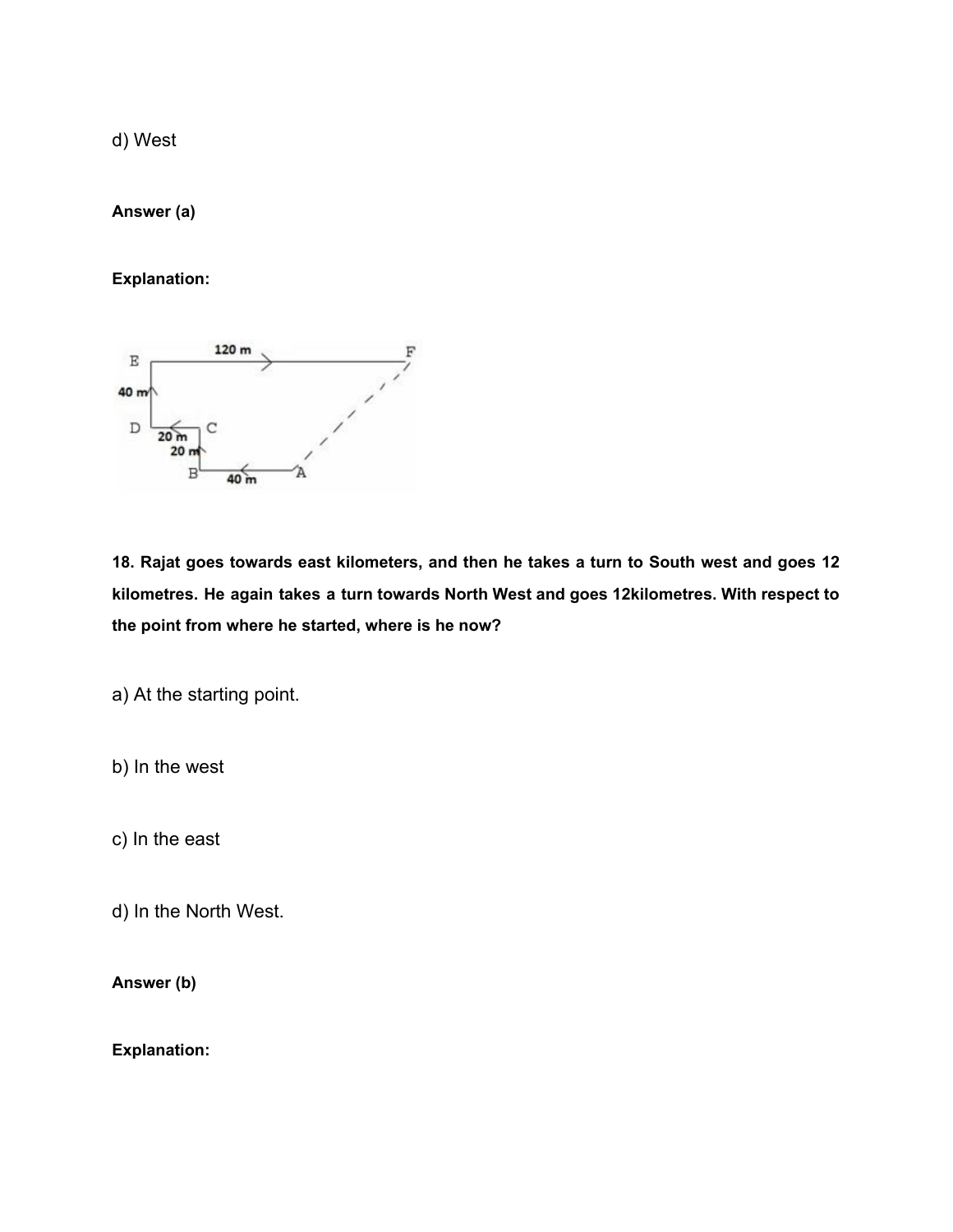d) West

**Answer (a)**

**Explanation:**



**18. Rajat goes towards east kilometers, and then he takes a turn to South west and goes 12 kilometres. He again takes a turn towards North West and goes 12kilometres. With respect to the point from where he started, where is he now?**

a) At the starting point.

b) In the west

c) In the east

d) In the North West.

**Answer (b)**

**Explanation:**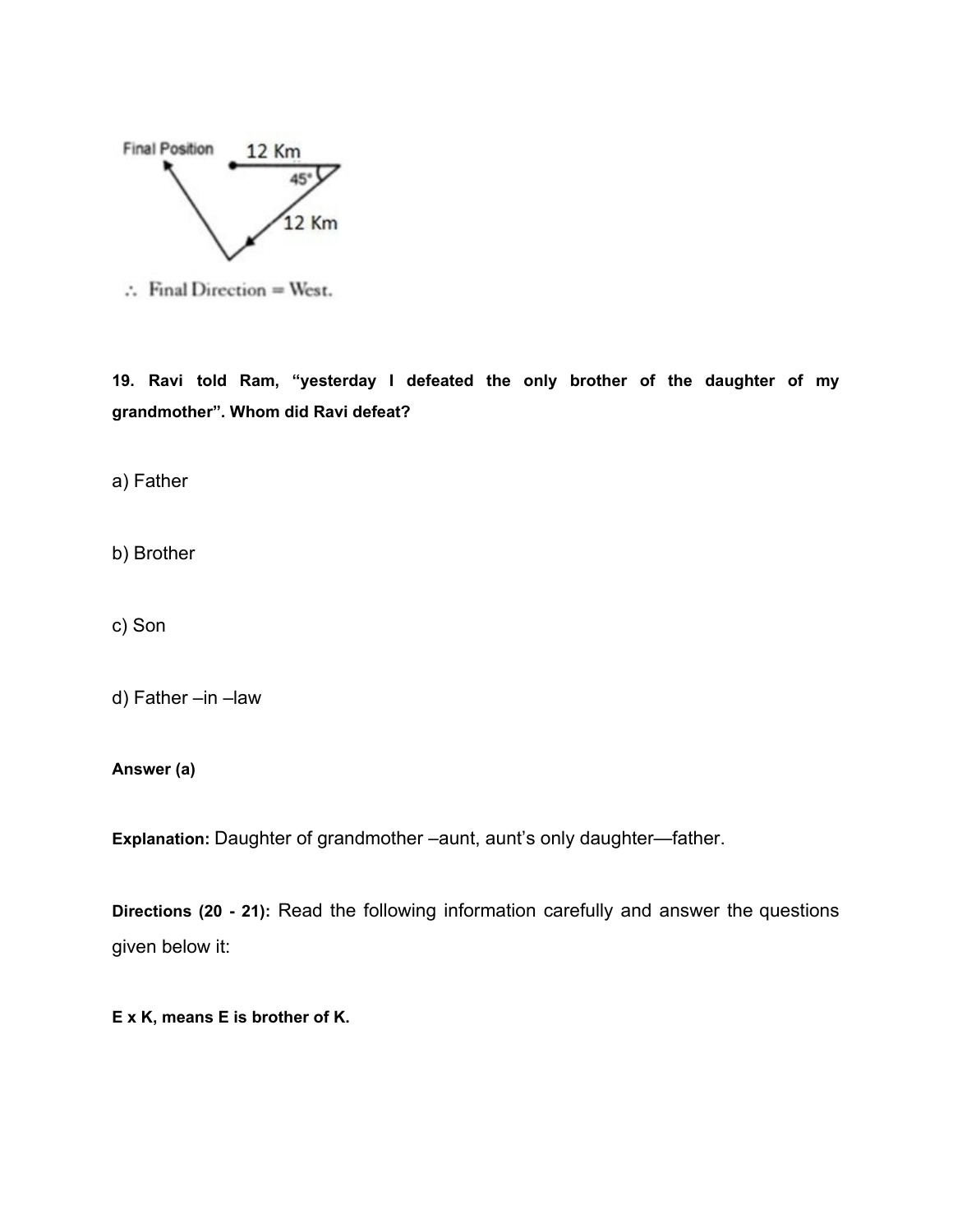

 $\therefore$  Final Direction = West.

**19. Ravi told Ram, "yesterday I defeated the only brother of the daughter of my grandmother". Whom did Ravi defeat?**

a) Father

b) Brother

c) Son

d) Father –in –law

**Answer (a)**

**Explanation:** Daughter of grandmother –aunt, aunt's only daughter—father.

**Directions (20 - 21):** Read the following information carefully and answer the questions given below it:

**E x K, means E is brother of K.**